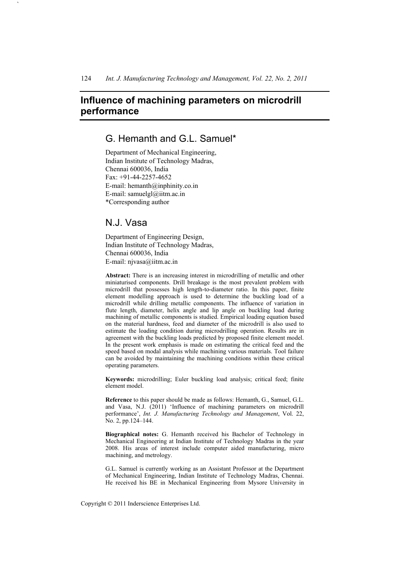# **Influence of machining parameters on microdrill performance**

# G. Hemanth and G.L. Samuel\*

Department of Mechanical Engineering, Indian Institute of Technology Madras, Chennai 600036, India Fax: +91-44-2257-4652 E-mail: hemanth@inphinity.co.in E-mail: samuelgl@iitm.ac.in \*Corresponding author

# N.J. Vasa

`

Department of Engineering Design, Indian Institute of Technology Madras, Chennai 600036, India E-mail: njvasa@iitm.ac.in

**Abstract:** There is an increasing interest in microdrilling of metallic and other miniaturised components. Drill breakage is the most prevalent problem with microdrill that possesses high length-to-diameter ratio. In this paper, finite element modelling approach is used to determine the buckling load of a microdrill while drilling metallic components. The influence of variation in flute length, diameter, helix angle and lip angle on buckling load during machining of metallic components is studied. Empirical loading equation based on the material hardness, feed and diameter of the microdrill is also used to estimate the loading condition during microdrilling operation. Results are in agreement with the buckling loads predicted by proposed finite element model. In the present work emphasis is made on estimating the critical feed and the speed based on modal analysis while machining various materials. Tool failure can be avoided by maintaining the machining conditions within these critical operating parameters.

**Keywords:** microdrilling; Euler buckling load analysis; critical feed; finite element model.

**Reference** to this paper should be made as follows: Hemanth, G., Samuel, G.L. and Vasa, N.J. (2011) 'Influence of machining parameters on microdrill performance', *Int. J. Manufacturing Technology and Management*, Vol. 22, No. 2, pp.124–144.

**Biographical notes:** G. Hemanth received his Bachelor of Technology in Mechanical Engineering at Indian Institute of Technology Madras in the year 2008. His areas of interest include computer aided manufacturing, micro machining, and metrology.

G.L. Samuel is currently working as an Assistant Professor at the Department of Mechanical Engineering, Indian Institute of Technology Madras, Chennai. He received his BE in Mechanical Engineering from Mysore University in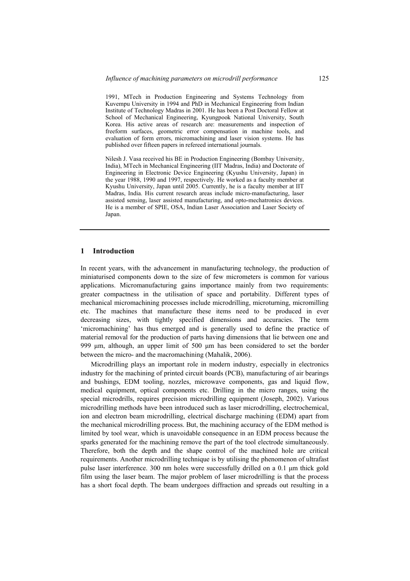1991, MTech in Production Engineering and Systems Technology from Kuvempu University in 1994 and PhD in Mechanical Engineering from Indian Institute of Technology Madras in 2001. He has been a Post Doctoral Fellow at School of Mechanical Engineering, Kyungpook National University, South Korea. His active areas of research are: measurements and inspection of freeform surfaces, geometric error compensation in machine tools, and evaluation of form errors, micromachining and laser vision systems. He has published over fifteen papers in refereed international journals.

Nilesh J. Vasa received his BE in Production Engineering (Bombay University, India), MTech in Mechanical Engineering (IIT Madras, India) and Doctorate of Engineering in Electronic Device Engineering (Kyushu University, Japan) in the year 1988, 1990 and 1997, respectively. He worked as a faculty member at Kyushu University, Japan until 2005. Currently, he is a faculty member at IIT Madras, India. His current research areas include micro-manufacturing, laser assisted sensing, laser assisted manufacturing, and opto-mechatronics devices. He is a member of SPIE, OSA, Indian Laser Association and Laser Society of Japan.

#### **1 Introduction**

In recent years, with the advancement in manufacturing technology, the production of miniaturised components down to the size of few micrometers is common for various applications. Micromanufacturing gains importance mainly from two requirements: greater compactness in the utilisation of space and portability. Different types of mechanical micromachining processes include microdrilling, microturning, micromilling etc. The machines that manufacture these items need to be produced in ever decreasing sizes, with tightly specified dimensions and accuracies. The term 'micromachining' has thus emerged and is generally used to define the practice of material removal for the production of parts having dimensions that lie between one and 999 μm, although, an upper limit of 500 μm has been considered to set the border between the micro- and the macromachining (Mahalik, 2006).

Microdrilling plays an important role in modern industry, especially in electronics industry for the machining of printed circuit boards (PCB), manufacturing of air bearings and bushings, EDM tooling, nozzles, microwave components, gas and liquid flow, medical equipment, optical components etc. Drilling in the micro ranges, using the special microdrills, requires precision microdrilling equipment (Joseph, 2002). Various microdrilling methods have been introduced such as laser microdrilling, electrochemical, ion and electron beam microdrilling, electrical discharge machining (EDM) apart from the mechanical microdrilling process. But, the machining accuracy of the EDM method is limited by tool wear, which is unavoidable consequence in an EDM process because the sparks generated for the machining remove the part of the tool electrode simultaneously. Therefore, both the depth and the shape control of the machined hole are critical requirements. Another microdrilling technique is by utilising the phenomenon of ultrafast pulse laser interference. 300 nm holes were successfully drilled on a 0.1 μm thick gold film using the laser beam. The major problem of laser microdrilling is that the process has a short focal depth. The beam undergoes diffraction and spreads out resulting in a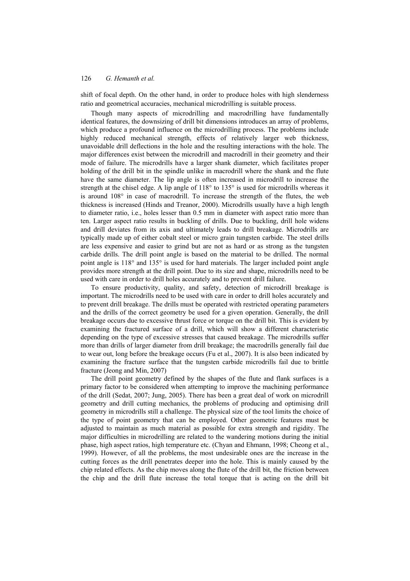shift of focal depth. On the other hand, in order to produce holes with high slenderness ratio and geometrical accuracies, mechanical microdrilling is suitable process.

Though many aspects of microdrilling and macrodrilling have fundamentally identical features, the downsizing of drill bit dimensions introduces an array of problems, which produce a profound influence on the microdrilling process. The problems include highly reduced mechanical strength, effects of relatively larger web thickness, unavoidable drill deflections in the hole and the resulting interactions with the hole. The major differences exist between the microdrill and macrodrill in their geometry and their mode of failure. The microdrills have a larger shank diameter, which facilitates proper holding of the drill bit in the spindle unlike in macrodrill where the shank and the flute have the same diameter. The lip angle is often increased in microdrill to increase the strength at the chisel edge. A lip angle of  $118^{\circ}$  to  $135^{\circ}$  is used for microdrills whereas it is around 108° in case of macrodrill. To increase the strength of the flutes, the web thickness is increased (Hinds and Treanor, 2000). Microdrills usually have a high length to diameter ratio, i.e., holes lesser than 0.5 mm in diameter with aspect ratio more than ten. Larger aspect ratio results in buckling of drills. Due to buckling, drill hole widens and drill deviates from its axis and ultimately leads to drill breakage. Microdrills are typically made up of either cobalt steel or micro grain tungsten carbide. The steel drills are less expensive and easier to grind but are not as hard or as strong as the tungsten carbide drills. The drill point angle is based on the material to be drilled. The normal point angle is 118° and 135° is used for hard materials. The larger included point angle provides more strength at the drill point. Due to its size and shape, microdrills need to be used with care in order to drill holes accurately and to prevent drill failure.

To ensure productivity, quality, and safety, detection of microdrill breakage is important. The microdrills need to be used with care in order to drill holes accurately and to prevent drill breakage. The drills must be operated with restricted operating parameters and the drills of the correct geometry be used for a given operation. Generally, the drill breakage occurs due to excessive thrust force or torque on the drill bit. This is evident by examining the fractured surface of a drill, which will show a different characteristic depending on the type of excessive stresses that caused breakage. The microdrills suffer more than drills of larger diameter from drill breakage; the macrodrills generally fail due to wear out, long before the breakage occurs (Fu et al., 2007). It is also been indicated by examining the fracture surface that the tungsten carbide microdrills fail due to brittle fracture (Jeong and Min, 2007)

The drill point geometry defined by the shapes of the flute and flank surfaces is a primary factor to be considered when attempting to improve the machining performance of the drill (Sedat, 2007; Jung, 2005). There has been a great deal of work on microdrill geometry and drill cutting mechanics, the problems of producing and optimising drill geometry in microdrills still a challenge. The physical size of the tool limits the choice of the type of point geometry that can be employed. Other geometric features must be adjusted to maintain as much material as possible for extra strength and rigidity. The major difficulties in microdrilling are related to the wandering motions during the initial phase, high aspect ratios, high temperature etc. (Chyan and Ehmann, 1998; Cheong et al., 1999). However, of all the problems, the most undesirable ones are the increase in the cutting forces as the drill penetrates deeper into the hole. This is mainly caused by the chip related effects. As the chip moves along the flute of the drill bit, the friction between the chip and the drill flute increase the total torque that is acting on the drill bit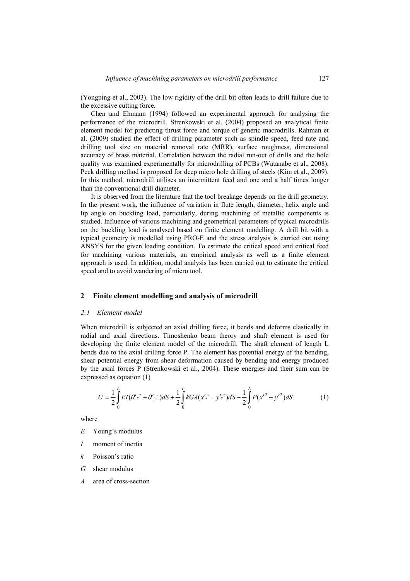(Yongping et al., 2003). The low rigidity of the drill bit often leads to drill failure due to the excessive cutting force.

Chen and Ehmann (1994) followed an experimental approach for analysing the performance of the microdrill. Strenkowski et al. (2004) proposed an analytical finite element model for predicting thrust force and torque of generic macrodrills. Rahman et al. (2009) studied the effect of drilling parameter such as spindle speed, feed rate and drilling tool size on material removal rate (MRR), surface roughness, dimensional accuracy of brass material. Correlation between the radial run-out of drills and the hole quality was examined experimentally for microdrilling of PCBs (Watanabe et al., 2008). Peck drilling method is proposed for deep micro hole drilling of steels (Kim et al., 2009). In this method, microdrill utilises an intermittent feed and one and a half times longer than the conventional drill diameter.

It is observed from the literature that the tool breakage depends on the drill geometry. In the present work, the influence of variation in flute length, diameter, helix angle and lip angle on buckling load, particularly, during machining of metallic components is studied. Influence of various machining and geometrical parameters of typical microdrills on the buckling load is analysed based on finite element modelling. A drill bit with a typical geometry is modelled using PRO-E and the stress analysis is carried out using ANSYS for the given loading condition. To estimate the critical speed and critical feed for machining various materials, an empirical analysis as well as a finite element approach is used. In addition, modal analysis has been carried out to estimate the critical speed and to avoid wandering of micro tool.

### **2 Finite element modelling and analysis of microdrill**

## *2.1 Element model*

When microdrill is subjected an axial drilling force, it bends and deforms elastically in radial and axial directions. Timoshenko beam theory and shaft element is used for developing the finite element model of the microdrill. The shaft element of length L bends due to the axial drilling force P. The element has potential energy of the bending, shear potential energy from shear deformation caused by bending and energy produced by the axial forces P (Strenkowski et al., 2004). These energies and their sum can be expressed as equation (1)

$$
U = \frac{1}{2} \int_{0}^{L} EI(\theta' x^2 + \theta' y^2) dS + \frac{1}{2} \int_{0}^{L} kGA(x' s^2 + y' s^2) dS - \frac{1}{2} \int_{0}^{L} P(x'^2 + y'^2) dS
$$
 (1)

where

- *E* Young's modulus
- *I* moment of inertia
- *k* Poisson's ratio
- *G* shear modulus
- *A* area of cross-section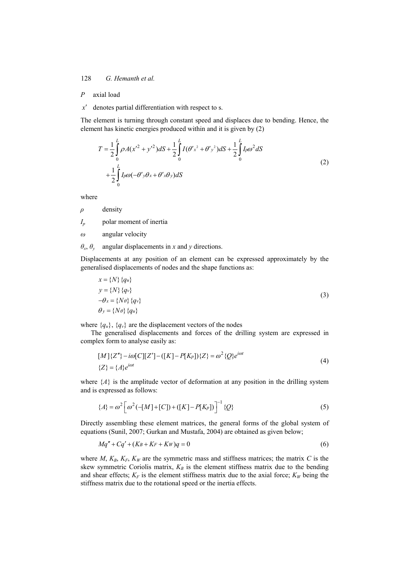# *P* axial load

*x*′ denotes partial differentiation with respect to s.

The element is turning through constant speed and displaces due to bending. Hence, the element has kinetic energies produced within and it is given by (2)

$$
T = \frac{1}{2} \int_{0}^{L} \rho A(x'^2 + y'^2) dS + \frac{1}{2} \int_{0}^{L} I(\theta' x^2 + \theta' y^2) dS + \frac{1}{2} \int_{0}^{L} I_p \omega^2 dS
$$
  
+ 
$$
\frac{1}{2} \int_{0}^{L} I_p \omega (-\theta' y \theta x + \theta' x \theta y) dS
$$
 (2)

where

*ρ* density

*Ip* polar moment of inertia

*ω* angular velocity

# $\theta_x$ ,  $\theta_y$  angular displacements in *x* and *y* directions.

Displacements at any position of an element can be expressed approximately by the generalised displacements of nodes and the shape functions as:

$$
x = \{N\} \{q_u\}
$$
  
\n
$$
y = \{N\} \{q_v\}
$$
  
\n
$$
-\theta_x = \{N\theta\} \{q_v\}
$$
  
\n
$$
\theta_y = \{N\theta\} \{q_u\}
$$
  
\n(3)

where  ${q_u}$ ,  ${q_v}$  are the displacement vectors of the nodes

The generalised displacements and forces of the drilling system are expressed in complex form to analyse easily as:

$$
[M]{Z''} - i\omega[C][Z'] - ([K] - P[K_P])\{Z\} = \omega^2 \{Q\} e^{i\omega t}
$$
  

$$
{Z} = {A}e^{i\omega t}
$$
 (4)

where  $\{A\}$  is the amplitude vector of deformation at any position in the drilling system and is expressed as follows:

$$
\{A\} = \omega^2 \left[ \omega^2 \left( -[M] + [C] \right) + ([K] - P[K_P]) \right]^{-1} \{Q\}
$$
 (5)

Directly assembling these element matrices, the general forms of the global system of equations (Sunil, 2007; Gurkan and Mustafa, 2004) are obtained as given below;

$$
Mq'' + Cq' + (K_B + K_F + Kw)q = 0\tag{6}
$$

where  $M$ ,  $K_B$ ,  $K_F$ ,  $K_W$  are the symmetric mass and stiffness matrices; the matrix  $C$  is the skew symmetric Coriolis matrix,  $K_B$  is the element stiffness matrix due to the bending and shear effects;  $K_F$  is the element stiffness matrix due to the axial force;  $K_W$  being the stiffness matrix due to the rotational speed or the inertia effects.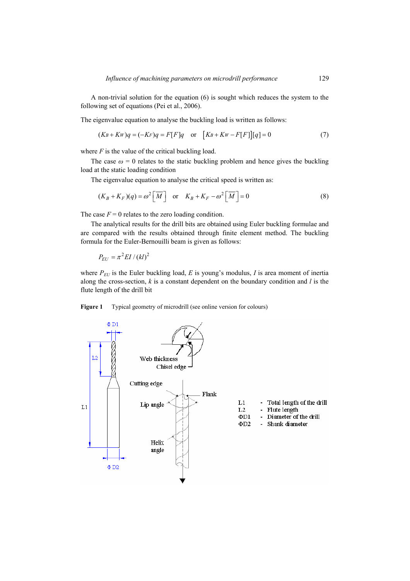A non-trivial solution for the equation (6) is sought which reduces the system to the following set of equations (Pei et al., 2006).

The eigenvalue equation to analyse the buckling load is written as follows:

$$
(K_B + Kw)q = (-Kr)q = F[F]q \quad \text{or} \quad [K_B + Kw - F[F]][q] = 0 \tag{7}
$$

where  $F$  is the value of the critical buckling load.

The case  $\omega = 0$  relates to the static buckling problem and hence gives the buckling load at the static loading condition

The eigenvalue equation to analyse the critical speed is written as:

$$
(K_B + K_F)(q) = \omega^2 \left[ \overline{M} \right] \quad \text{or} \quad K_B + K_F - \omega^2 \left[ \overline{M} \right] = 0 \tag{8}
$$

The case  $F = 0$  relates to the zero loading condition.

The analytical results for the drill bits are obtained using Euler buckling formulae and are compared with the results obtained through finite element method. The buckling formula for the Euler-Bernouilli beam is given as follows:

 $P_{EII} = \pi^2 EI / (kl)^2$ 

where  $P_{EU}$  is the Euler buckling load,  $E$  is young's modulus,  $I$  is area moment of inertia along the cross-section, *k* is a constant dependent on the boundary condition and *l* is the flute length of the drill bit

Figure 1 Typical geometry of microdrill (see online version for colours)

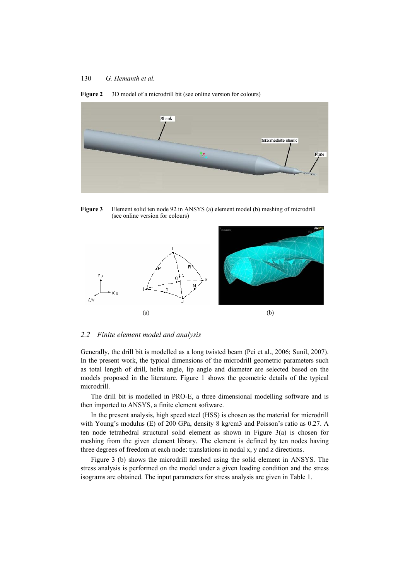

#### Figure 2 3D model of a microdrill bit (see online version for colours)

**Figure 3** Element solid ten node 92 in ANSYS (a) element model (b) meshing of microdrill (see online version for colours)



### *2.2 Finite element model and analysis*

Generally, the drill bit is modelled as a long twisted beam (Pei et al., 2006; Sunil, 2007). In the present work, the typical dimensions of the microdrill geometric parameters such as total length of drill, helix angle, lip angle and diameter are selected based on the models proposed in the literature. Figure 1 shows the geometric details of the typical microdrill.

The drill bit is modelled in PRO-E, a three dimensional modelling software and is then imported to ANSYS, a finite element software.

In the present analysis, high speed steel (HSS) is chosen as the material for microdrill with Young's modulus (E) of 200 GPa, density 8 kg/cm3 and Poisson's ratio as 0.27. A ten node tetrahedral structural solid element as shown in Figure 3(a) is chosen for meshing from the given element library. The element is defined by ten nodes having three degrees of freedom at each node: translations in nodal x, y and z directions.

Figure 3 (b) shows the microdrill meshed using the solid element in ANSYS. The stress analysis is performed on the model under a given loading condition and the stress isograms are obtained. The input parameters for stress analysis are given in Table 1.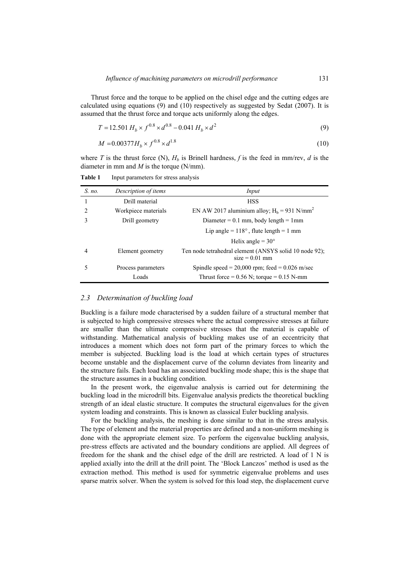Thrust force and the torque to be applied on the chisel edge and the cutting edges are calculated using equations (9) and (10) respectively as suggested by Sedat (2007). It is assumed that the thrust force and torque acts uniformly along the edges.

$$
T = 12.501 H_b \times f^{0.8} \times d^{0.8} - 0.041 H_b \times d^2
$$
\n(9)

$$
M = 0.00377 H_b \times f^{0.8} \times d^{1.8}
$$
 (10)

where *T* is the thrust force (N),  $H_b$  is Brinell hardness, *f* is the feed in mm/rev, *d* is the diameter in mm and *M* is the torque (N/mm).

*S. no. Description of items Input*  1 Drill material HSS 2 Workpiece materials EN AW 2017 aluminium alloy;  $H_b = 931$  N/mm<sup>2</sup> Diameter =  $0.1$  mm, body length =  $1$ mm Lip angle =  $118^\circ$ , flute length = 1 mm 3 Drill geometry Helix angle =  $30^\circ$ 4 Element geometry Ten node tetrahedral element (ANSYS solid 10 node 92);  $size = 0.01$  mm 5 Process parameters Spindle speed =  $20,000$  rpm; feed =  $0.026$  m/sec Loads Thrust force =  $0.56$  N; torque =  $0.15$  N-mm

**Table 1** Input parameters for stress analysis

# *2.3 Determination of buckling load*

Buckling is a failure mode characterised by a sudden failure of a structural member that is subjected to high compressive stresses where the actual compressive stresses at failure are smaller than the ultimate compressive stresses that the material is capable of withstanding. Mathematical analysis of buckling makes use of an eccentricity that introduces a moment which does not form part of the primary forces to which the member is subjected. Buckling load is the load at which certain types of structures become unstable and the displacement curve of the column deviates from linearity and the structure fails. Each load has an associated buckling mode shape; this is the shape that the structure assumes in a buckling condition.

In the present work, the eigenvalue analysis is carried out for determining the buckling load in the microdrill bits. Eigenvalue analysis predicts the theoretical buckling strength of an ideal elastic structure. It computes the structural eigenvalues for the given system loading and constraints. This is known as classical Euler buckling analysis.

For the buckling analysis, the meshing is done similar to that in the stress analysis. The type of element and the material properties are defined and a non-uniform meshing is done with the appropriate element size. To perform the eigenvalue buckling analysis, pre-stress effects are activated and the boundary conditions are applied. All degrees of freedom for the shank and the chisel edge of the drill are restricted. A load of 1 N is applied axially into the drill at the drill point. The 'Block Lanczos' method is used as the extraction method. This method is used for symmetric eigenvalue problems and uses sparse matrix solver. When the system is solved for this load step, the displacement curve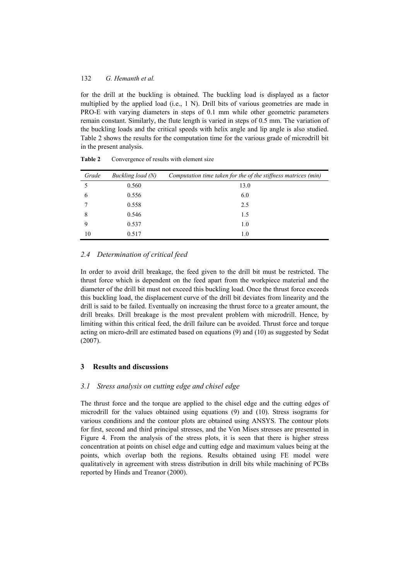for the drill at the buckling is obtained. The buckling load is displayed as a factor multiplied by the applied load (i.e., 1 N). Drill bits of various geometries are made in PRO-E with varying diameters in steps of 0.1 mm while other geometric parameters remain constant. Similarly, the flute length is varied in steps of 0.5 mm. The variation of the buckling loads and the critical speeds with helix angle and lip angle is also studied. Table 2 shows the results for the computation time for the various grade of microdrill bit in the present analysis.

| Grade | Buckling load (N) | Computation time taken for the of the stiffness matrices (min) |
|-------|-------------------|----------------------------------------------------------------|
|       | 0.560             | 13.0                                                           |
| 6     | 0.556             | 6.0                                                            |
|       | 0.558             | 2.5                                                            |
| 8     | 0.546             | 1.5                                                            |
| 9     | 0.537             | 1.0                                                            |
| 10    | 0.517             | 1.0                                                            |

Table 2 Convergence of results with element size

# *2.4 Determination of critical feed*

In order to avoid drill breakage, the feed given to the drill bit must be restricted. The thrust force which is dependent on the feed apart from the workpiece material and the diameter of the drill bit must not exceed this buckling load. Once the thrust force exceeds this buckling load, the displacement curve of the drill bit deviates from linearity and the drill is said to be failed. Eventually on increasing the thrust force to a greater amount, the drill breaks. Drill breakage is the most prevalent problem with microdrill. Hence, by limiting within this critical feed, the drill failure can be avoided. Thrust force and torque acting on micro-drill are estimated based on equations (9) and (10) as suggested by Sedat (2007).

# **3 Results and discussions**

#### *3.1 Stress analysis on cutting edge and chisel edge*

The thrust force and the torque are applied to the chisel edge and the cutting edges of microdrill for the values obtained using equations (9) and (10). Stress isograms for various conditions and the contour plots are obtained using ANSYS. The contour plots for first, second and third principal stresses, and the Von Mises stresses are presented in Figure 4. From the analysis of the stress plots, it is seen that there is higher stress concentration at points on chisel edge and cutting edge and maximum values being at the points, which overlap both the regions. Results obtained using FE model were qualitatively in agreement with stress distribution in drill bits while machining of PCBs reported by Hinds and Treanor (2000).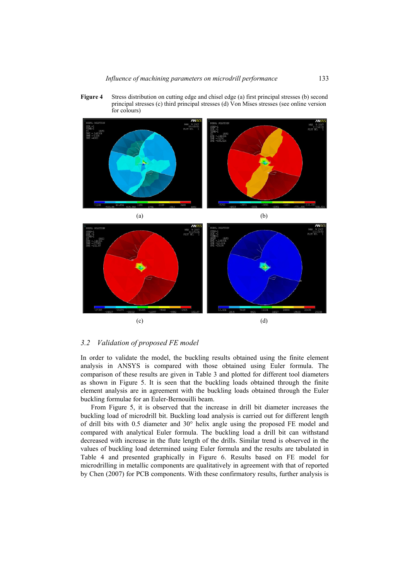**Figure 4** Stress distribution on cutting edge and chisel edge (a) first principal stresses (b) second principal stresses (c) third principal stresses (d) Von Mises stresses (see online version for colours)



# *3.2 Validation of proposed FE model*

In order to validate the model, the buckling results obtained using the finite element analysis in ANSYS is compared with those obtained using Euler formula. The comparison of these results are given in Table 3 and plotted for different tool diameters as shown in Figure 5. It is seen that the buckling loads obtained through the finite element analysis are in agreement with the buckling loads obtained through the Euler buckling formulae for an Euler-Bernouilli beam.

From Figure 5, it is observed that the increase in drill bit diameter increases the buckling load of microdrill bit. Buckling load analysis is carried out for different length of drill bits with 0.5 diameter and 30° helix angle using the proposed FE model and compared with analytical Euler formula. The buckling load a drill bit can withstand decreased with increase in the flute length of the drills. Similar trend is observed in the values of buckling load determined using Euler formula and the results are tabulated in Table 4 and presented graphically in Figure 6. Results based on FE model for microdrilling in metallic components are qualitatively in agreement with that of reported by Chen (2007) for PCB components. With these confirmatory results, further analysis is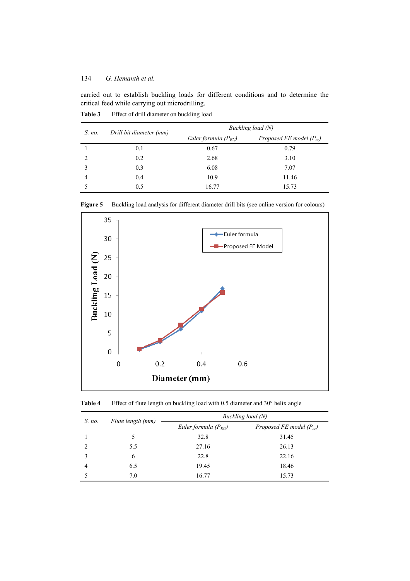carried out to establish buckling loads for different conditions and to determine the critical feed while carrying out microdrilling.

| S. no. | Drill bit diameter (mm) | Buckling load (N)        |                              |  |  |
|--------|-------------------------|--------------------------|------------------------------|--|--|
|        |                         | Euler formula $(P_{EU})$ | Proposed FE model $(P_{cr})$ |  |  |
|        | 0.1                     | 0.67                     | 0.79                         |  |  |
|        | 0.2                     | 2.68                     | 3.10                         |  |  |
|        | 0.3                     | 6.08                     | 7.07                         |  |  |
|        | 0.4                     | 10.9                     | 11.46                        |  |  |
|        | 0.5                     | 16.77                    | 15.73                        |  |  |

Table 3 Effect of drill diameter on buckling load



Figure 5 Buckling load analysis for different diameter drill bits (see online version for colours)

**Table 4** Effect of flute length on buckling load with 0.5 diameter and 30° helix angle

| $S$ . no. | Flute length (mm) | Buckling load (N)        |                              |  |  |
|-----------|-------------------|--------------------------|------------------------------|--|--|
|           |                   | Euler formula $(P_{EU})$ | Proposed FE model $(P_{cr})$ |  |  |
|           |                   | 32.8                     | 31.45                        |  |  |
|           | 5.5               | 27.16                    | 26.13                        |  |  |
|           | 6                 | 22.8                     | 22.16                        |  |  |
|           | 6.5               | 19.45                    | 18.46                        |  |  |
|           | 7.0               | 16.77                    | 15.73                        |  |  |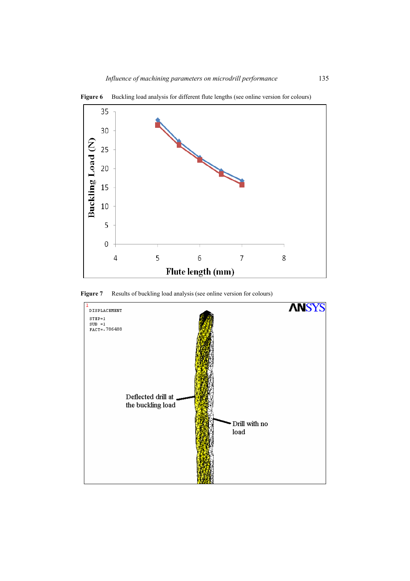

Figure 6 Buckling load analysis for different flute lengths (see online version for colours)

Figure 7 Results of buckling load analysis (see online version for colours)

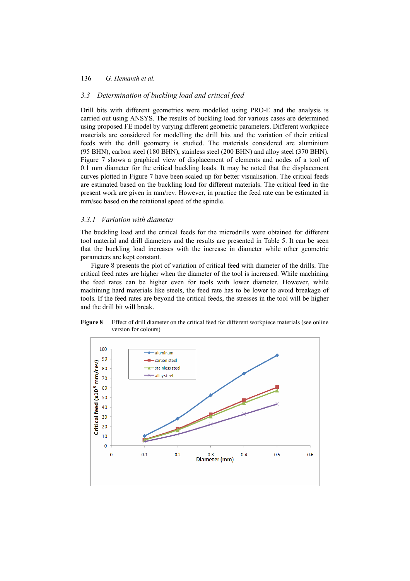### *3.3 Determination of buckling load and critical feed*

Drill bits with different geometries were modelled using PRO-E and the analysis is carried out using ANSYS. The results of buckling load for various cases are determined using proposed FE model by varying different geometric parameters. Different workpiece materials are considered for modelling the drill bits and the variation of their critical feeds with the drill geometry is studied. The materials considered are aluminium (95 BHN), carbon steel (180 BHN), stainless steel (200 BHN) and alloy steel (370 BHN). Figure 7 shows a graphical view of displacement of elements and nodes of a tool of 0.1 mm diameter for the critical buckling loads. It may be noted that the displacement curves plotted in Figure 7 have been scaled up for better visualisation. The critical feeds are estimated based on the buckling load for different materials. The critical feed in the present work are given in mm/rev. However, in practice the feed rate can be estimated in mm/sec based on the rotational speed of the spindle.

## *3.3.1 Variation with diameter*

The buckling load and the critical feeds for the microdrills were obtained for different tool material and drill diameters and the results are presented in Table 5. It can be seen that the buckling load increases with the increase in diameter while other geometric parameters are kept constant.

Figure 8 presents the plot of variation of critical feed with diameter of the drills. The critical feed rates are higher when the diameter of the tool is increased. While machining the feed rates can be higher even for tools with lower diameter. However, while machining hard materials like steels, the feed rate has to be lower to avoid breakage of tools. If the feed rates are beyond the critical feeds, the stresses in the tool will be higher and the drill bit will break.



**Figure 8** Effect of drill diameter on the critical feed for different workpiece materials (see online version for colours)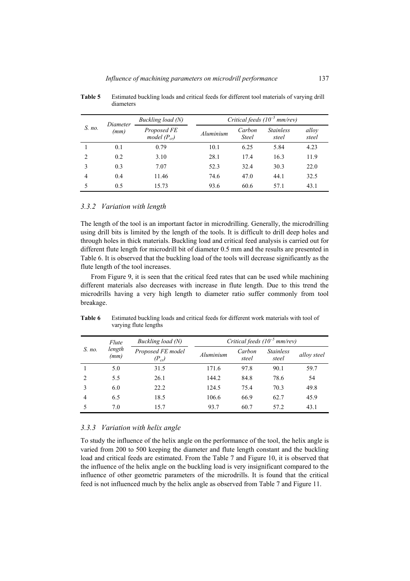|                | Diameter<br>(mm) | Buckling load (N)               | Critical feeds $(10^{-5}$ mm/rev) |                        |                           |                |
|----------------|------------------|---------------------------------|-----------------------------------|------------------------|---------------------------|----------------|
| S. no.         |                  | Proposed FE<br>model $(P_{cr})$ | Aluminium                         | Carbon<br><b>Steel</b> | <b>Stainless</b><br>steel | alloy<br>steel |
|                | 0.1              | 0.79                            | 10.1                              | 6.25                   | 5.84                      | 4.23           |
| $\overline{2}$ | 0.2              | 3.10                            | 28.1                              | 17.4                   | 16.3                      | 11.9           |
| $\mathbf{3}$   | 0.3              | 7.07                            | 52.3                              | 32.4                   | 30.3                      | 22.0           |
| $\overline{4}$ | 0.4              | 11.46                           | 74.6                              | 47.0                   | 44.1                      | 32.5           |
|                | 0.5              | 15.73                           | 93.6                              | 60.6                   | 57.1                      | 43.1           |

**Table 5** Estimated buckling loads and critical feeds for different tool materials of varying drill diameters

## *3.3.2 Variation with length*

The length of the tool is an important factor in microdrilling. Generally, the microdrilling using drill bits is limited by the length of the tools. It is difficult to drill deep holes and through holes in thick materials. Buckling load and critical feed analysis is carried out for different flute length for microdrill bit of diameter 0.5 mm and the results are presented in Table 6. It is observed that the buckling load of the tools will decrease significantly as the flute length of the tool increases.

From Figure 9, it is seen that the critical feed rates that can be used while machining different materials also decreases with increase in flute length. Due to this trend the microdrills having a very high length to diameter ratio suffer commonly from tool breakage.

|                    | Flute          | Buckling load (N)               | Critical feeds $(10^{-5}$ mm/rev) |                 |                                  |             |
|--------------------|----------------|---------------------------------|-----------------------------------|-----------------|----------------------------------|-------------|
| S. no.             | length<br>(mm) | Proposed FE model<br>$(P_{cr})$ | Aluminium                         | Carbon<br>steel | <i><b>Stainless</b></i><br>steel | alloy steel |
|                    | 5.0            | 31.5                            | 171.6                             | 97.8            | 90.1                             | 59.7        |
| $\mathfrak{D}_{1}$ | 5.5            | 26.1                            | 144.2                             | 84.8            | 78.6                             | 54          |
| 3                  | 6.0            | 22.2                            | 124.5                             | 75.4            | 70.3                             | 49.8        |
| 4                  | 6.5            | 18.5                            | 106.6                             | 66.9            | 62.7                             | 45.9        |
|                    | 7.0            | 15.7                            | 93.7                              | 60.7            | 57.2                             | 43.1        |

Table 6 Estimated buckling loads and critical feeds for different work materials with tool of varying flute lengths

### *3.3.3 Variation with helix angle*

To study the influence of the helix angle on the performance of the tool, the helix angle is varied from 200 to 500 keeping the diameter and flute length constant and the buckling load and critical feeds are estimated. From the Table 7 and Figure 10, it is observed that the influence of the helix angle on the buckling load is very insignificant compared to the influence of other geometric parameters of the microdrills. It is found that the critical feed is not influenced much by the helix angle as observed from Table 7 and Figure 11.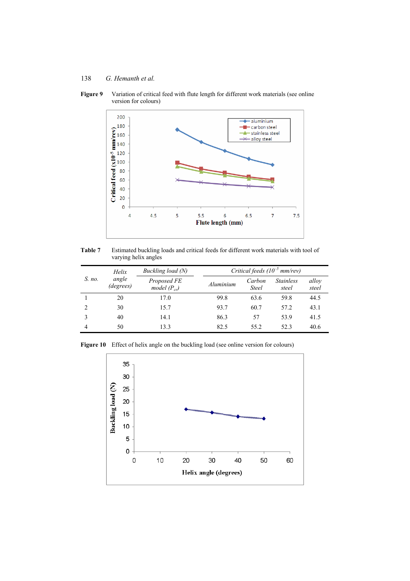

Figure 9 Variation of critical feed with flute length for different work materials (see online version for colours)

**Table 7** Estimated buckling loads and critical feeds for different work materials with tool of varying helix angles

|                | Helix              | Buckling load (N)               | Critical feeds $(10^{-5}$ mm/rev) |                        |                           |                |  |
|----------------|--------------------|---------------------------------|-----------------------------------|------------------------|---------------------------|----------------|--|
| S. no.         | angle<br>(degrees) | Proposed FE<br>model $(P_{cr})$ | Aluminium                         | Carbon<br><b>Steel</b> | <b>Stainless</b><br>steel | alloy<br>steel |  |
|                | 20                 | 17.0                            | 99.8                              | 63.6                   | 59.8                      | 44.5           |  |
| $\mathfrak{D}$ | 30                 | 15.7                            | 93.7                              | 60.7                   | 57.2                      | 43.1           |  |
|                | 40                 | 14.1                            | 86.3                              | 57                     | 53.9                      | 41.5           |  |
| 4              | 50                 | 13.3                            | 82.5                              | 55.2                   | 52.3                      | 40.6           |  |

Figure 10 Effect of helix angle on the buckling load (see online version for colours)

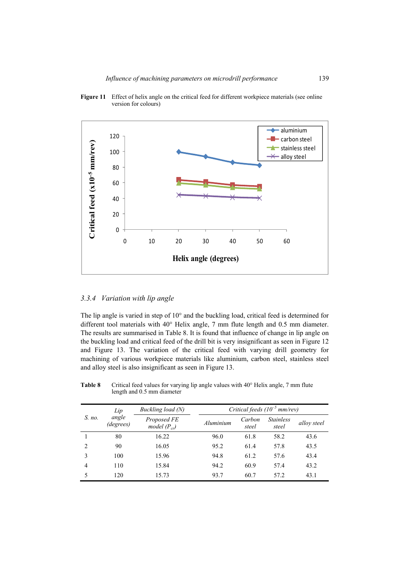

**Figure 11** Effect of helix angle on the critical feed for different workpiece materials (see online version for colours)

# *3.3.4 Variation with lip angle*

The lip angle is varied in step of 10° and the buckling load, critical feed is determined for different tool materials with 40° Helix angle, 7 mm flute length and 0.5 mm diameter. The results are summarised in Table 8. It is found that influence of change in lip angle on the buckling load and critical feed of the drill bit is very insignificant as seen in Figure 12 and Figure 13. The variation of the critical feed with varying drill geometry for machining of various workpiece materials like aluminium, carbon steel, stainless steel and alloy steel is also insignificant as seen in Figure 13.

|                | Lip                | Buckling load (N)               | Critical feeds $(10^{-5}$ mm/rev) |                 |                           |             |
|----------------|--------------------|---------------------------------|-----------------------------------|-----------------|---------------------------|-------------|
| S. no.         | angle<br>(degrees) | Proposed FE<br>model $(P_{cr})$ | Aluminium                         | Carbon<br>steel | <b>Stainless</b><br>steel | alloy steel |
|                | 80                 | 16.22                           | 96.0                              | 61.8            | 58.2                      | 43.6        |
| $\overline{c}$ | 90                 | 16.05                           | 95.2                              | 61.4            | 57.8                      | 43.5        |
| $\mathbf{3}$   | 100                | 15.96                           | 94.8                              | 61.2            | 57.6                      | 43.4        |
| $\overline{4}$ | 110                | 15.84                           | 94.2                              | 60.9            | 57.4                      | 43.2        |
|                | 120                | 15.73                           | 93.7                              | 60.7            | 57.2                      | 43.1        |

**Table 8** Critical feed values for varying lip angle values with 40° Helix angle, 7 mm flute length and 0.5 mm diameter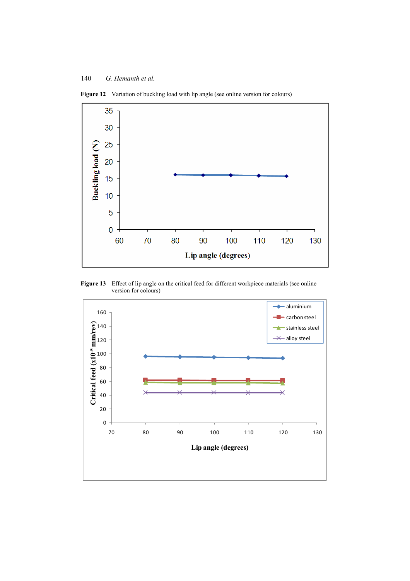

Figure 12 Variation of buckling load with lip angle (see online version for colours)

Figure 13 Effect of lip angle on the critical feed for different workpiece materials (see online version for colours)

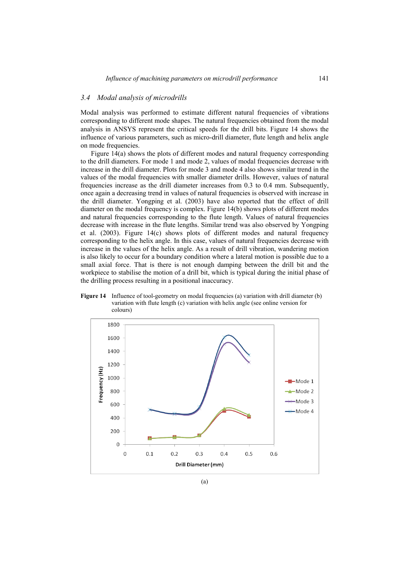# *3.4 Modal analysis of microdrills*

Modal analysis was performed to estimate different natural frequencies of vibrations corresponding to different mode shapes. The natural frequencies obtained from the modal analysis in ANSYS represent the critical speeds for the drill bits. Figure 14 shows the influence of various parameters, such as micro-drill diameter, flute length and helix angle on mode frequencies.

Figure 14(a) shows the plots of different modes and natural frequency corresponding to the drill diameters. For mode 1 and mode 2, values of modal frequencies decrease with increase in the drill diameter. Plots for mode 3 and mode 4 also shows similar trend in the values of the modal frequencies with smaller diameter drills. However, values of natural frequencies increase as the drill diameter increases from 0.3 to 0.4 mm. Subsequently, once again a decreasing trend in values of natural frequencies is observed with increase in the drill diameter. Yongping et al. (2003) have also reported that the effect of drill diameter on the modal frequency is complex. Figure 14(b) shows plots of different modes and natural frequencies corresponding to the flute length. Values of natural frequencies decrease with increase in the flute lengths. Similar trend was also observed by Yongping et al. (2003). Figure 14(c) shows plots of different modes and natural frequency corresponding to the helix angle. In this case, values of natural frequencies decrease with increase in the values of the helix angle. As a result of drill vibration, wandering motion is also likely to occur for a boundary condition where a lateral motion is possible due to a small axial force. That is there is not enough damping between the drill bit and the workpiece to stabilise the motion of a drill bit, which is typical during the initial phase of the drilling process resulting in a positional inaccuracy.





(a)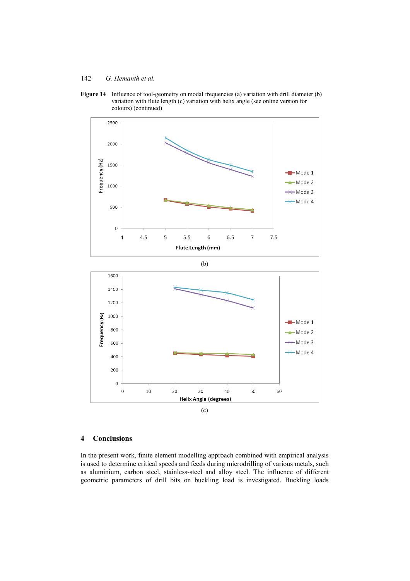



(b)



(c)

# **4 Conclusions**

In the present work, finite element modelling approach combined with empirical analysis is used to determine critical speeds and feeds during microdrilling of various metals, such as aluminium, carbon steel, stainless-steel and alloy steel. The influence of different geometric parameters of drill bits on buckling load is investigated. Buckling loads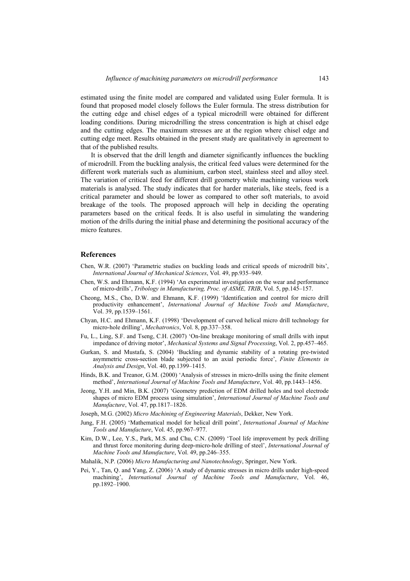estimated using the finite model are compared and validated using Euler formula. It is found that proposed model closely follows the Euler formula. The stress distribution for the cutting edge and chisel edges of a typical microdrill were obtained for different loading conditions. During microdrilling the stress concentration is high at chisel edge and the cutting edges. The maximum stresses are at the region where chisel edge and cutting edge meet. Results obtained in the present study are qualitatively in agreement to that of the published results.

It is observed that the drill length and diameter significantly influences the buckling of microdrill. From the buckling analysis, the critical feed values were determined for the different work materials such as aluminium, carbon steel, stainless steel and alloy steel. The variation of critical feed for different drill geometry while machining various work materials is analysed. The study indicates that for harder materials, like steels, feed is a critical parameter and should be lower as compared to other soft materials, to avoid breakage of the tools. The proposed approach will help in deciding the operating parameters based on the critical feeds. It is also useful in simulating the wandering motion of the drills during the initial phase and determining the positional accuracy of the micro features.

# **References**

- Chen, W.R. (2007) 'Parametric studies on buckling loads and critical speeds of microdrill bits', *International Journal of Mechanical Sciences*, Vol. 49, pp.935–949.
- Chen, W.S. and Ehmann, K.F. (1994) 'An experimental investigation on the wear and performance of micro-drills', *Tribology in Manufacturing, Proc. of ASME, TRIB*, Vol. 5, pp.145–157.
- Cheong, M.S., Cho, D.W. and Ehmann, K.F. (1999) 'Identification and control for micro drill productivity enhancement', *International Journal of Machine Tools and Manufacture*, Vol. 39, pp.1539–1561.
- Chyan, H.C. and Ehmann, K.F. (1998) 'Development of curved helical micro drill technology for micro-hole drilling', *Mechatronics*, Vol. 8, pp.337–358.
- Fu, L., Ling, S.F. and Tseng, C.H. (2007) 'On-line breakage monitoring of small drills with input impedance of driving motor', *Mechanical Systems and Signal Processing*, Vol. 2, pp.457–465.
- Gurkan, S. and Mustafa, S. (2004) 'Buckling and dynamic stability of a rotating pre-twisted asymmetric cross-section blade subjected to an axial periodic force', *Finite Elements in Analysis and Design*, Vol. 40, pp.1399–1415.
- Hinds, B.K. and Treanor, G.M. (2000) 'Analysis of stresses in micro-drills using the finite element method', *International Journal of Machine Tools and Manufacture*, Vol. 40, pp.1443–1456.
- Jeong, Y.H. and Min, B.K. (2007) 'Geometry prediction of EDM drilled holes and tool electrode shapes of micro EDM process using simulation', *International Journal of Machine Tools and Manufacture*, Vol. 47, pp.1817–1826.
- Joseph, M.G. (2002) *Micro Machining of Engineering Materials*, Dekker, New York.
- Jung, F.H. (2005) 'Mathematical model for helical drill point', *International Journal of Machine Tools and Manufacture*, Vol. 45, pp.967–977.
- Kim, D.W., Lee, Y.S., Park, M.S. and Chu, C.N. (2009) 'Tool life improvement by peck drilling and thrust force monitoring during deep-micro-hole drilling of steel', *International Journal of Machine Tools and Manufacture*, Vol. 49, pp.246–355.
- Mahalik, N.P. (2006) *Micro Manufacturing and Nanotechnology*, Springer, New York.
- Pei, Y., Tan, Q. and Yang, Z. (2006) 'A study of dynamic stresses in micro drills under high-speed machining', *International Journal of Machine Tools and Manufacture*, Vol. 46, pp.1892–1900.